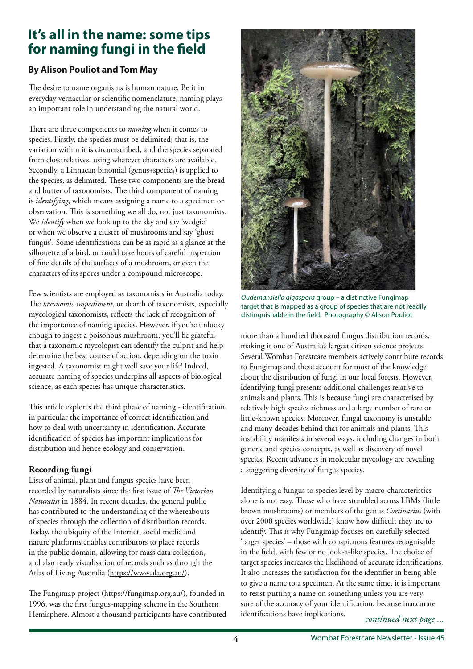# **It's all in the name: some tips for naming fungi in the feld**

## **By Alison Pouliot and Tom May**

The desire to name organisms is human nature. Be it in everyday vernacular or scientifc nomenclature, naming plays an important role in understanding the natural world.

There are three components to *naming* when it comes to species. Firstly, the species must be delimited; that is, the variation within it is circumscribed, and the species separated from close relatives, using whatever characters are available. Secondly, a Linnaean binomial (genus+species) is applied to the species, as delimited. These two components are the bread and butter of taxonomists. The third component of naming is *identifying*, which means assigning a name to a specimen or observation. This is something we all do, not just taxonomists. We *identify* when we look up to the sky and say 'wedgie' or when we observe a cluster of mushrooms and say 'ghost fungus'. Some identifcations can be as rapid as a glance at the silhouette of a bird, or could take hours of careful inspection of fne details of the surfaces of a mushroom, or even the characters of its spores under a compound microscope.

Few scientists are employed as taxonomists in Australia today. The *taxonomic impediment*, or dearth of taxonomists, especially mycological taxonomists, refects the lack of recognition of the importance of naming species. However, if you're unlucky enough to ingest a poisonous mushroom, you'll be grateful that a taxonomic mycologist can identify the culprit and help determine the best course of action, depending on the toxin ingested. A taxonomist might well save your life! Indeed, accurate naming of species underpins all aspects of biological science, as each species has unique characteristics.

This article explores the third phase of naming - identification, in particular the importance of correct identifcation and how to deal with uncertainty in identifcation. Accurate identifcation of species has important implications for distribution and hence ecology and conservation.

## **Recording fungi**

Lists of animal, plant and fungus species have been recorded by naturalists since the frst issue of *Te Victorian Naturalist* in 1884. In recent decades, the general public has contributed to the understanding of the whereabouts of species through the collection of distribution records. Today, the ubiquity of the Internet, social media and nature platforms enables contributors to place records in the public domain, allowing for mass data collection, and also ready visualisation of records such as through the Atlas of Living Australia (https://www.ala.org.au/).

The Fungimap project (https://fungimap.org.au/), founded in 1996, was the frst fungus-mapping scheme in the Southern Hemisphere. Almost a thousand participants have contributed



*Oudemansiella gigaspora* group – a distinctive Fungimap target that is mapped as a group of species that are not readily distinguishable in the feld. Photography © Alison Pouliot

more than a hundred thousand fungus distribution records, making it one of Australia's largest citizen science projects. Several Wombat Forestcare members actively contribute records to Fungimap and these account for most of the knowledge about the distribution of fungi in our local forests. However, identifying fungi presents additional challenges relative to animals and plants. This is because fungi are characterised by relatively high species richness and a large number of rare or little-known species. Moreover, fungal taxonomy is unstable and many decades behind that for animals and plants. This instability manifests in several ways, including changes in both generic and species concepts, as well as discovery of novel species. Recent advances in molecular mycology are revealing a staggering diversity of fungus species.

*continued next page ...* Identifying a fungus to species level by macro-characteristics alone is not easy. Those who have stumbled across LBMs (little brown mushrooms) or members of the genus *Cortinarius* (with over 2000 species worldwide) know how difficult they are to identify. This is why Fungimap focuses on carefully selected 'target species' – those with conspicuous features recognisable in the field, with few or no look-a-like species. The choice of target species increases the likelihood of accurate identifcations. It also increases the satisfaction for the identifer in being able to give a name to a specimen. At the same time, it is important to resist putting a name on something unless you are very sure of the accuracy of your identifcation, because inaccurate identifcations have implications.